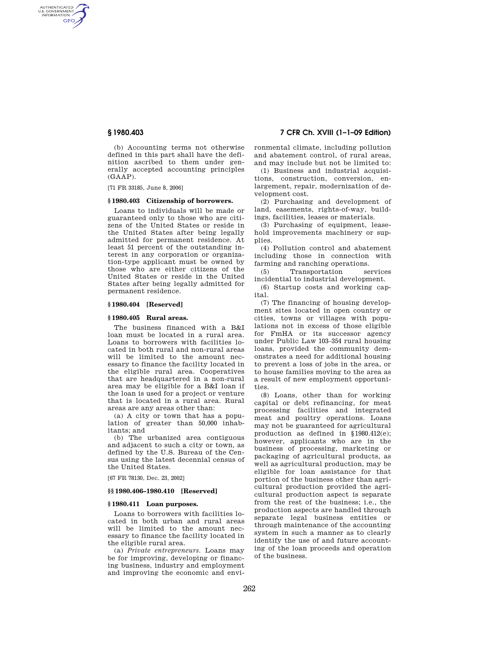AUTHENTICATED<br>U.S. GOVERNMENT<br>INFORMATION GPO

> (b) Accounting terms not otherwise defined in this part shall have the definition ascribed to them under generally accepted accounting principles (GAAP).

[71 FR 33185, June 8, 2006]

# **§ 1980.403 Citizenship of borrowers.**

Loans to individuals will be made or guaranteed only to those who are citizens of the United States or reside in the United States after being legally admitted for permanent residence. At least 51 percent of the outstanding interest in any corporation or organization-type applicant must be owned by those who are either citizens of the United States or reside in the United States after being legally admitted for permanent residence.

#### **§ 1980.404 [Reserved]**

#### **§ 1980.405 Rural areas.**

The business financed with a B&I loan must be located in a rural area. Loans to borrowers with facilities located in both rural and non-rural areas will be limited to the amount necessary to finance the facility located in the eligible rural area. Cooperatives that are headquartered in a non-rural area may be eligible for a B&I loan if the loan is used for a project or venture that is located in a rural area. Rural areas are any areas other than:

(a) A city or town that has a population of greater than 50,000 inhabitants; and

(b) The urbanized area contiguous and adjacent to such a city or town, as defined by the U.S. Bureau of the Census using the latest decennial census of the United States.

[67 FR 78130, Dec. 23, 2002]

### **§§ 1980.406–1980.410 [Reserved]**

#### **§ 1980.411 Loan purposes.**

Loans to borrowers with facilities located in both urban and rural areas will be limited to the amount necessary to finance the facility located in the eligible rural area.

(a) *Private entrepreneurs.* Loans may be for improving, developing or financing business, industry and employment and improving the economic and envi-

**§ 1980.403 7 CFR Ch. XVIII (1–1–09 Edition)** 

ronmental climate, including pollution and abatement control, of rural areas, and may include but not be limited to:

(1) Business and industrial acquisitions, construction, conversion, enlargement, repair, modernization of development cost.

(2) Purchasing and development of land, easements, rights-of-way, buildings, facilities, leases or materials.

(3) Purchasing of equipment, leasehold improvements machinery or supplies.

(4) Pollution control and abatement including those in connection with farming and ranching operations.

(5) Transportation services incidential to industrial development.

(6) Startup costs and working capital.

(7) The financing of housing development sites located in open country or cities, towns or villages with populations not in excess of those eligible for FmHA or its successor agency under Public Law 103–354 rural housing loans, provided the community demonstrates a need for additional housing to prevent a loss of jobs in the area, or to house families moving to the area as a result of new employment opportunities.

(8) Loans, other than for working capital or debt refinancing, for meat processing facilities and integrated meat and poultry operations. Loans may not be guaranteed for agricultural production as defined in §1980.412(e); however, applicants who are in the business of processing, marketing or packaging of agricultural products, as well as agricultural production, may be eligible for loan assistance for that portion of the business other than agricultural production provided the agricultural production aspect is separate from the rest of the business; i.e., the production aspects are handled through separate legal business entities or through maintenance of the accounting system in such a manner as to clearly identify the use of and future accounting of the loan proceeds and operation of the business.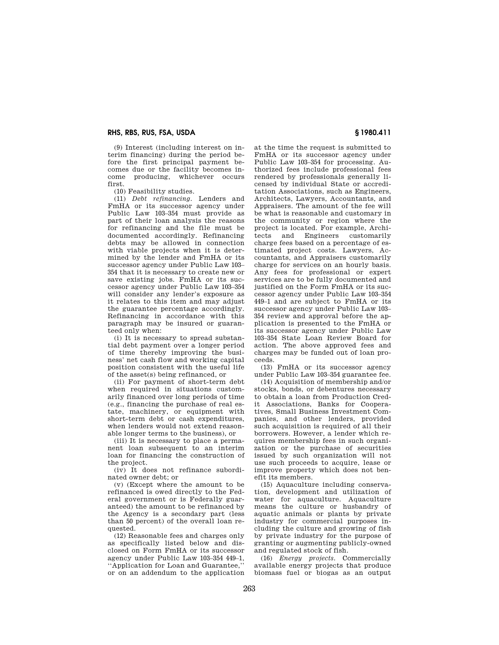# **RHS, RBS, RUS, FSA, USDA § 1980.411**

(9) Interest (including interest on interim financing) during the period before the first principal payment becomes due or the facility becomes income producing, whichever occurs first.

(10) Feasibility studies.

(11) *Debt refinancing.* Lenders and FmHA or its successor agency under Public Law 103–354 must provide as part of their loan analysis the reasons for refinancing and the file must be documented accordingly. Refinancing debts may be allowed in connection with viable projects when it is determined by the lender and FmHA or its successor agency under Public Law 103– 354 that it is necessary to create new or save existing jobs. FmHA or its successor agency under Public Law 103–354 will consider any lender's exposure as it relates to this item and may adjust the guarantee percentage accordingly. Refinancing in accordance with this paragraph may be insured or guaranteed only when:

(i) It is necessary to spread substantial debt payment over a longer period of time thereby improving the business' net cash flow and working capital position consistent with the useful life of the asset(s) being refinanced, or

(ii) For payment of short-term debt when required in situations customarily financed over long periods of time (e.g., financing the purchase of real estate, machinery, or equipment with short-term debt or cash expenditures, when lenders would not extend reasonable longer terms to the business), or

(iii) It is necessary to place a permanent loan subsequent to an interim loan for financing the construction of the project.

(iv) It does not refinance subordinated owner debt; or

(v) (Except where the amount to be refinanced is owed directly to the Federal government or is Federally guaranteed) the amount to be refinanced by the Agency is a secondary part (less than 50 percent) of the overall loan requested.

(12) Reasonable fees and charges only as specifically listed below and disclosed on Form FmHA or its successor agency under Public Law 103–354 449–1, ''Application for Loan and Guarantee,'' or on an addendum to the application at the time the request is submitted to FmHA or its successor agency under Public Law 103–354 for processing. Authorized fees include professional fees rendered by professionals generally licensed by individual State or accreditation Associations, such as Engineers, Architects, Lawyers, Accountants, and Appraisers. The amount of the fee will be what is reasonable and customary in the community or region where the project is located. For example, Architects and Engineers customarily charge fees based on a percentage of estimated project costs. Lawyers, Accountants, and Appraisers customarily charge for services on an hourly basis. Any fees for professional or expert services are to be fully documented and justified on the Form FmHA or its successor agency under Public Law 103–354 449–1 and are subject to FmHA or its successor agency under Public Law 103– 354 review and approval before the application is presented to the FmHA or its successor agency under Public Law 103–354 State Loan Review Board for action. The above approved fees and charges may be funded out of loan proceeds.

(13) FmHA or its successor agency under Public Law 103–354 guarantee fee.

(14) Acquisition of membership and/or stocks, bonds, or debentures necessary to obtain a loan from Production Credit Associations, Banks for Cooperatives, Small Business Investment Companies, and other lenders, provided such acquisition is required of all their borrowers. However, a lender which requires membership fees in such organization or the purchase of securities issued by such organization will not use such proceeds to acquire, lease or improve property which does not benefit its members.

(15) Aquaculture including conservation, development and utilization of water for aquaculture. Aquaculture means the culture or husbandry of aquatic animals or plants by private industry for commercial purposes including the culture and growing of fish by private industry for the purpose of granting or augmenting publicly-owned and regulated stock of fish.

(16) *Energy projects.* Commercially available energy projects that produce biomass fuel or biogas as an output